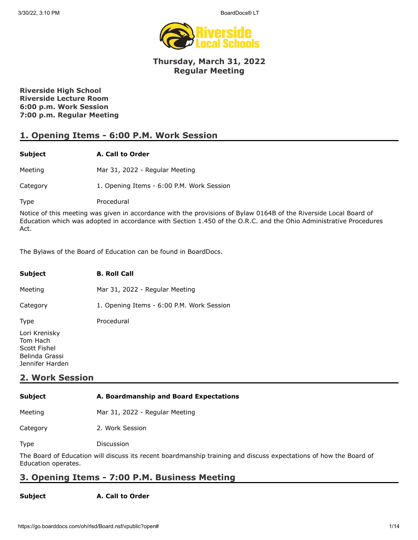

## **Thursday, March 31, 2022 Regular Meeting**

**Riverside High School Riverside Lecture Room 6:00 p.m. Work Session 7:00 p.m. Regular Meeting**

## **1. Opening Items - 6:00 P.M. Work Session**

### **Subject A. Call to Order**

Meeting Mar 31, 2022 - Regular Meeting

Category 1. Opening Items - 6:00 P.M. Work Session

Type Procedural

Notice of this meeting was given in accordance with the provisions of Bylaw 0164B of the Riverside Local Board of Education which was adopted in accordance with Section 1.450 of the O.R.C. and the Ohio Administrative Procedures Act.

The Bylaws of the Board of Education can be found in BoardDocs.

| <b>Subject</b>                                                                 | <b>B. Roll Call</b>                       |
|--------------------------------------------------------------------------------|-------------------------------------------|
| Meeting                                                                        | Mar 31, 2022 - Regular Meeting            |
| Category                                                                       | 1. Opening Items - 6:00 P.M. Work Session |
| <b>Type</b>                                                                    | Procedural                                |
| Lori Krenisky<br>Tom Hach<br>Scott Fishel<br>Belinda Grassi<br>Jennifer Harden |                                           |

## **2. Work Session**

| <b>Subject</b> | A. Boardmanship and Board Expectations |  |
|----------------|----------------------------------------|--|
|                |                                        |  |

Meeting Mar 31, 2022 - Regular Meeting

Category 2. Work Session

Type Discussion

The Board of Education will discuss its recent boardmanship training and discuss expectations of how the Board of Education operates.

## **3. Opening Items - 7:00 P.M. Business Meeting**

### **Subject A. Call to Order**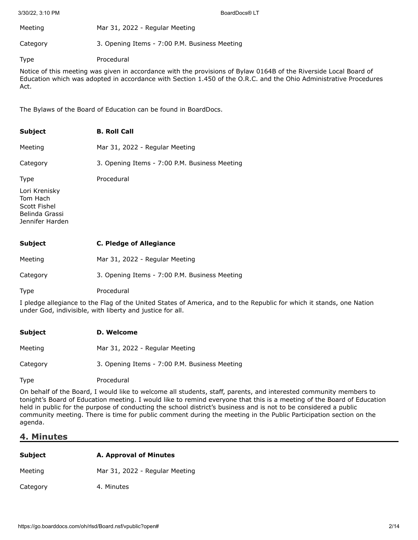| Meeting  | Mar 31, 2022 - Regular Meeting                |
|----------|-----------------------------------------------|
| Category | 3. Opening Items - 7:00 P.M. Business Meeting |

Type Procedural

Notice of this meeting was given in accordance with the provisions of Bylaw 0164B of the Riverside Local Board of Education which was adopted in accordance with Section 1.450 of the O.R.C. and the Ohio Administrative Procedures Act.

The Bylaws of the Board of Education can be found in BoardDocs.

| <b>Subject</b>                                                                 | <b>B. Roll Call</b>                           |
|--------------------------------------------------------------------------------|-----------------------------------------------|
| Meeting                                                                        | Mar 31, 2022 - Regular Meeting                |
| Category                                                                       | 3. Opening Items - 7:00 P.M. Business Meeting |
| Type                                                                           | Procedural                                    |
| Lori Krenisky<br>Tom Hach<br>Scott Fishel<br>Belinda Grassi<br>Jennifer Harden |                                               |
| <b>Subject</b>                                                                 | <b>C. Pledge of Allegiance</b>                |
| Meeting                                                                        | Mar 31, 2022 - Regular Meeting                |

Category 3. Opening Items - 7:00 P.M. Business Meeting

Type Procedural

I pledge allegiance to the Flag of the United States of America, and to the Republic for which it stands, one Nation under God, indivisible, with liberty and justice for all.

| <b>Subject</b> | D. Welcome                                    |
|----------------|-----------------------------------------------|
| Meeting        | Mar 31, 2022 - Regular Meeting                |
| Category       | 3. Opening Items - 7:00 P.M. Business Meeting |
| <b>Type</b>    | Procedural                                    |

On behalf of the Board, I would like to welcome all students, staff, parents, and interested community members to tonight's Board of Education meeting. I would like to remind everyone that this is a meeting of the Board of Education held in public for the purpose of conducting the school district's business and is not to be considered a public community meeting. There is time for public comment during the meeting in the Public Participation section on the agenda.

## **4. Minutes**

| <b>Subject</b> | A. Approval of Minutes         |  |
|----------------|--------------------------------|--|
| Meeting        | Mar 31, 2022 - Regular Meeting |  |
| Category       | 4. Minutes                     |  |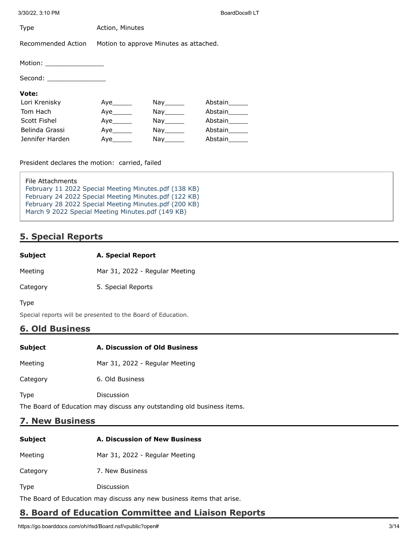| <b>Type</b>                                                                                                                                                                                                                                                                                                                                                                                                             | Action, Minutes                        |                                                                                                                  |               |
|-------------------------------------------------------------------------------------------------------------------------------------------------------------------------------------------------------------------------------------------------------------------------------------------------------------------------------------------------------------------------------------------------------------------------|----------------------------------------|------------------------------------------------------------------------------------------------------------------|---------------|
| Recommended Action                                                                                                                                                                                                                                                                                                                                                                                                      | Motion to approve Minutes as attached. |                                                                                                                  |               |
| Motion: $\frac{1}{\sqrt{1-\frac{1}{2}}}\frac{1}{\sqrt{1-\frac{1}{2}}}\frac{1}{\sqrt{1-\frac{1}{2}}}\frac{1}{\sqrt{1-\frac{1}{2}}}\frac{1}{\sqrt{1-\frac{1}{2}}}\frac{1}{\sqrt{1-\frac{1}{2}}}\frac{1}{\sqrt{1-\frac{1}{2}}}\frac{1}{\sqrt{1-\frac{1}{2}}}\frac{1}{\sqrt{1-\frac{1}{2}}}\frac{1}{\sqrt{1-\frac{1}{2}}}\frac{1}{\sqrt{1-\frac{1}{2}}}\frac{1}{\sqrt{1-\frac{1}{2}}}\frac{1}{\sqrt{1-\frac{1}{2}}}\frac{1$ |                                        |                                                                                                                  |               |
| Second: __________________                                                                                                                                                                                                                                                                                                                                                                                              |                                        |                                                                                                                  |               |
| Vote:                                                                                                                                                                                                                                                                                                                                                                                                                   |                                        |                                                                                                                  |               |
| Lori Krenisky                                                                                                                                                                                                                                                                                                                                                                                                           | Aye                                    | Nay the set of the set of the set of the set of the set of the set of the set of the set of the set of the set o | Abstain       |
| Tom Hach                                                                                                                                                                                                                                                                                                                                                                                                                | Aye                                    | $\mathsf{Nay}_{\_\!\!\mathsf{max}}$                                                                              | Abstain       |
| Scott Fishel                                                                                                                                                                                                                                                                                                                                                                                                            |                                        | Nay ________                                                                                                     | Abstain       |
| Belinda Grassi                                                                                                                                                                                                                                                                                                                                                                                                          | Aye                                    | Nay the set of the set of the set of the set of the set of the set of the set of the set of the set of the set o | Abstain______ |
| Jennifer Harden                                                                                                                                                                                                                                                                                                                                                                                                         | Aye                                    | Nay the second the second second that the second second second the second second second second second second s   | Abstain       |

President declares the motion: carried, failed

| File Attachments                                      |  |
|-------------------------------------------------------|--|
| February 11 2022 Special Meeting Minutes.pdf (138 KB) |  |
| February 24 2022 Special Meeting Minutes.pdf (122 KB) |  |
| February 28 2022 Special Meeting Minutes.pdf (200 KB) |  |
| March 9 2022 Special Meeting Minutes.pdf (149 KB)     |  |

## **5. Special Reports**

Meeting Mar 31, 2022 - Regular Meeting

Category 5. Special Reports

Type

Special reports will be presented to the Board of Education.

## **6. Old Business**

| <b>Subject</b> | A. Discussion of Old Business                                 |
|----------------|---------------------------------------------------------------|
| Meeting        | Mar 31, 2022 - Regular Meeting                                |
| Category       | 6. Old Business                                               |
| <b>Type</b>    | Discussion                                                    |
|                | The Board of Education may discuss any outstanding old busing |

The Board of Education may discuss any outstanding old business items.

## **7. New Business**

| <b>Subject</b> | A. Discussion of New Business  |
|----------------|--------------------------------|
| Meeting        | Mar 31, 2022 - Regular Meeting |
| Category       | 7. New Business                |
| <b>Type</b>    | Discussion                     |

The Board of Education may discuss any new business items that arise.

## **8. Board of Education Committee and Liaison Reports**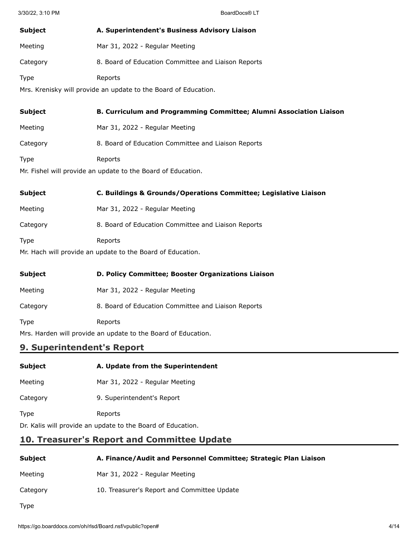| Subject                                                         | A. Superintendent's Business Advisory Liaison       |  |
|-----------------------------------------------------------------|-----------------------------------------------------|--|
| Meeting                                                         | Mar 31, 2022 - Regular Meeting                      |  |
| Category                                                        | 8. Board of Education Committee and Liaison Reports |  |
| Type                                                            | Reports                                             |  |
| Mrs. Krenisky will provide an update to the Board of Education. |                                                     |  |

| <b>Subject</b> | <b>B. Curriculum and Programming Committee; Alumni Association Liaison</b> |
|----------------|----------------------------------------------------------------------------|
| Meeting        | Mar 31, 2022 - Regular Meeting                                             |
| Category       | 8. Board of Education Committee and Liaison Reports                        |
| <b>Type</b>    | Reports                                                                    |
|                |                                                                            |

Mr. Fishel will provide an update to the Board of Education.

| <b>Subject</b>                                           | C. Buildings & Grounds/Operations Committee; Legislative Liaison |  |
|----------------------------------------------------------|------------------------------------------------------------------|--|
| Meeting                                                  | Mar 31, 2022 - Regular Meeting                                   |  |
| Category                                                 | 8. Board of Education Committee and Liaison Reports              |  |
| Type                                                     | Reports                                                          |  |
| Mr Hach will provide an undate to the Board of Education |                                                                  |  |

Mr. Hach will provide an update to the Board of Education.

| <b>Subject</b>                                                | D. Policy Committee; Booster Organizations Liaison  |  |
|---------------------------------------------------------------|-----------------------------------------------------|--|
| Meeting                                                       | Mar 31, 2022 - Regular Meeting                      |  |
| Category                                                      | 8. Board of Education Committee and Liaison Reports |  |
| <b>Type</b>                                                   | Reports                                             |  |
| Mrs. Harden will provide an update to the Board of Education. |                                                     |  |

## **9. Superintendent's Report**

| <b>Subject</b> | A. Update from the Superintendent |
|----------------|-----------------------------------|
|                |                                   |

- Meeting Mar 31, 2022 Regular Meeting
- Category 9. Superintendent's Report
- Type Reports

Dr. Kalis will provide an update to the Board of Education.

# **10. Treasurer's Report and Committee Update**

| Subject  | A. Finance/Audit and Personnel Committee; Strategic Plan Liaison |
|----------|------------------------------------------------------------------|
| Meeting  | Mar 31, 2022 - Regular Meeting                                   |
| Category | 10. Treasurer's Report and Committee Update                      |
| Type     |                                                                  |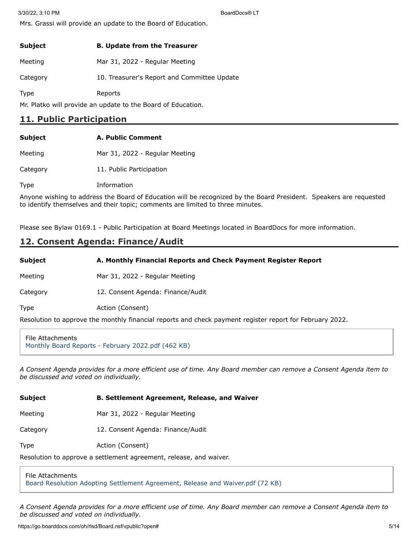Mrs. Grassi will provide an update to the Board of Education.

| <b>Subject</b> | <b>B. Update from the Treasurer</b>         |
|----------------|---------------------------------------------|
| Meeting        | Mar 31, 2022 - Regular Meeting              |
| Category       | 10. Treasurer's Report and Committee Update |
| <b>Type</b>    | Reports                                     |

Mr. Platko will provide an update to the Board of Education.

## **11. Public Participation**

| <b>Subject</b> | A. Public Comment              |
|----------------|--------------------------------|
| Meeting        | Mar 31, 2022 - Regular Meeting |
| Category       | 11. Public Participation       |

Type Information

Anyone wishing to address the Board of Education will be recognized by the Board President. Speakers are requested to identify themselves and their topic; comments are limited to three minutes.

Please see Bylaw 0169.1 - Public Participation at Board Meetings located in BoardDocs for more information.

## **12. Consent Agenda: Finance/Audit**

**Subject A. Monthly Financial Reports and Check Payment Register Report**

Meeting Mar 31, 2022 - Regular Meeting

Category 12. Consent Agenda: Finance/Audit

Type **Action** (Consent)

Resolution to approve the monthly financial reports and check payment register report for February 2022.

File Attachments [Monthly Board Reports - February 2022.pdf \(462 KB\)](https://go.boarddocs.com/oh/rlsd/Board.nsf/files/CC5UYG7D393A/$file/Monthly%20Board%20Reports%20-%20February%202022.pdf)

*A Consent Agenda provides for a more efficient use of time. Any Board member can remove a Consent Agenda item to be discussed and voted on individually.*

| <b>Subject</b> | <b>B. Settlement Agreement, Release, and Waiver</b> |
|----------------|-----------------------------------------------------|
| Meeting        | Mar 31, 2022 - Regular Meeting                      |
| Category       | 12. Consent Agenda: Finance/Audit                   |
| <b>Type</b>    | Action (Consent)                                    |

Resolution to approve a settlement agreement, release, and waiver.

### File Attachments

[Board Resolution Adopting Settlement Agreement, Release and Waiver.pdf \(72 KB\)](https://go.boarddocs.com/oh/rlsd/Board.nsf/files/CCHR9F6CE4D9/$file/Board%20Resolution%20Adopting%20Settlement%20Agreement%2C%20Release%20and%20Waiver.pdf)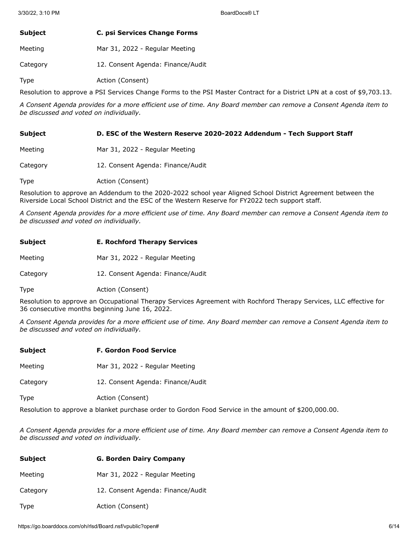| Subject | C. psi Services Change Forms |
|---------|------------------------------|
|---------|------------------------------|

Meeting Mar 31, 2022 - Regular Meeting

Category 12. Consent Agenda: Finance/Audit

Type **Action** (Consent)

Resolution to approve a PSI Services Change Forms to the PSI Master Contract for a District LPN at a cost of \$9,703.13.

*A Consent Agenda provides for a more efficient use of time. Any Board member can remove a Consent Agenda item to be discussed and voted on individually.*

### **Subject D. ESC of the Western Reserve 2020-2022 Addendum - Tech Support Staff**

- Meeting Mar 31, 2022 Regular Meeting
- Category 12. Consent Agenda: Finance/Audit
- Type **Action** (Consent)

Resolution to approve an Addendum to the 2020-2022 school year Aligned School District Agreement between the Riverside Local School District and the ESC of the Western Reserve for FY2022 tech support staff.

*A Consent Agenda provides for a more efficient use of time. Any Board member can remove a Consent Agenda item to be discussed and voted on individually.*

| <b>Subject</b> | <b>E. Rochford Therapy Services</b> |
|----------------|-------------------------------------|
| Meeting        | Mar 31, 2022 - Regular Meeting      |
| Category       | 12. Consent Agenda: Finance/Audit   |

Type **Action** (Consent)

Resolution to approve an Occupational Therapy Services Agreement with Rochford Therapy Services, LLC effective for 36 consecutive months beginning June 16, 2022.

*A Consent Agenda provides for a more efficient use of time. Any Board member can remove a Consent Agenda item to be discussed and voted on individually.*

| Subject                                                                                              | <b>F. Gordon Food Service</b>     |  |
|------------------------------------------------------------------------------------------------------|-----------------------------------|--|
| Meeting                                                                                              | Mar 31, 2022 - Regular Meeting    |  |
| Category                                                                                             | 12. Consent Agenda: Finance/Audit |  |
| <b>Type</b>                                                                                          | Action (Consent)                  |  |
| Resolution to approve a blanket purchase order to Gordon Food Service in the amount of \$200,000.00. |                                   |  |

| <b>Subject</b> | <b>G. Borden Dairy Company</b>    |
|----------------|-----------------------------------|
| Meeting        | Mar 31, 2022 - Regular Meeting    |
| Category       | 12. Consent Agenda: Finance/Audit |
| Type           | Action (Consent)                  |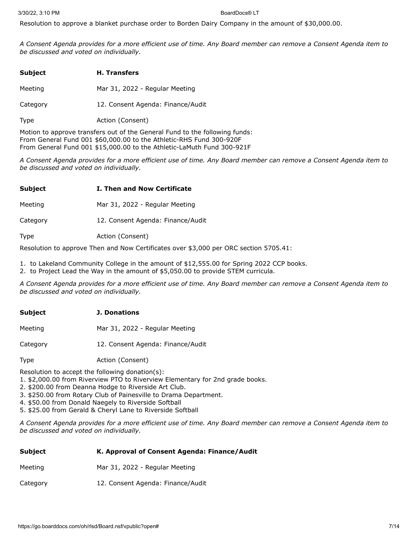Resolution to approve a blanket purchase order to Borden Dairy Company in the amount of \$30,000.00.

*A Consent Agenda provides for a more efficient use of time. Any Board member can remove a Consent Agenda item to be discussed and voted on individually.*

| <b>Subject</b> | <b>H.</b> Transfers               |
|----------------|-----------------------------------|
| Meeting        | Mar 31, 2022 - Regular Meeting    |
| Category       | 12. Consent Agenda: Finance/Audit |
| <b>Type</b>    | Action (Consent)                  |

Motion to approve transfers out of the General Fund to the following funds: From General Fund 001 \$60,000.00 to the Athletic-RHS Fund 300-920F From General Fund 001 \$15,000.00 to the Athletic-LaMuth Fund 300-921F

*A Consent Agenda provides for a more efficient use of time. Any Board member can remove a Consent Agenda item to be discussed and voted on individually.*

### **Subject I. Then and Now Certificate**

Meeting Mar 31, 2022 - Regular Meeting

Category 12. Consent Agenda: Finance/Audit

Type **Action** (Consent)

Resolution to approve Then and Now Certificates over \$3,000 per ORC section 5705.41:

- 1. to Lakeland Community College in the amount of \$12,555.00 for Spring 2022 CCP books.
- 2. to Project Lead the Way in the amount of \$5,050.00 to provide STEM curricula.

*A Consent Agenda provides for a more efficient use of time. Any Board member can remove a Consent Agenda item to be discussed and voted on individually.*

### **Subject J. Donations**

Meeting Mar 31, 2022 - Regular Meeting

Category 12. Consent Agenda: Finance/Audit

Type **Action** (Consent)

Resolution to accept the following donation(s):

1. \$2,000.00 from Riverview PTO to Riverview Elementary for 2nd grade books.

- 2. \$200.00 from Deanna Hodge to Riverside Art Club.
- 3. \$250.00 from Rotary Club of Painesville to Drama Department.

4. \$50.00 from Donald Naegely to Riverside Softball

5. \$25.00 from Gerald & Cheryl Lane to Riverside Softball

| Subject  | K. Approval of Consent Agenda: Finance/Audit |
|----------|----------------------------------------------|
| Meeting  | Mar 31, 2022 - Regular Meeting               |
| Category | 12. Consent Agenda: Finance/Audit            |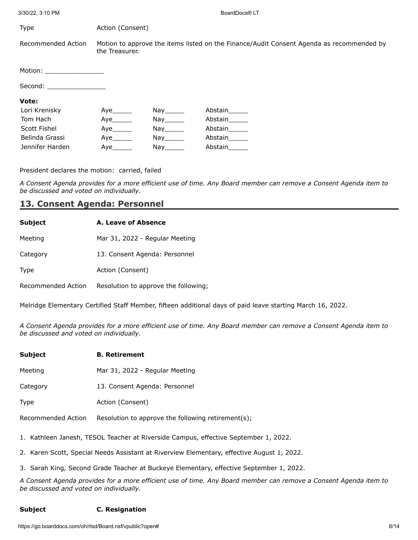| Type                        | Action (Consent) |     |                                                                                          |
|-----------------------------|------------------|-----|------------------------------------------------------------------------------------------|
| Recommended Action          | the Treasurer.   |     | Motion to approve the items listed on the Finance/Audit Consent Agenda as recommended by |
| Motion: ___________________ |                  |     |                                                                                          |
| Second:                     |                  |     |                                                                                          |
| Vote:                       |                  |     |                                                                                          |
| Lori Krenisky               | Aye              | Nay | Abstain                                                                                  |
| Tom Hach                    | Ave              | Nay | Abstain                                                                                  |
| Scott Fishel                | Aye              | Nay | Abstain                                                                                  |
| Belinda Grassi              | Aye              | Nay | Abstain                                                                                  |
| Jennifer Harden             | Aye              | Nay | Abstain                                                                                  |

President declares the motion: carried, failed

*A Consent Agenda provides for a more efficient use of time. Any Board member can remove a Consent Agenda item to be discussed and voted on individually.*

### **13. Consent Agenda: Personnel**

| Subject | A. Leave of Absence            |
|---------|--------------------------------|
| Meeting | Mar 31, 2022 - Regular Meeting |

Category 13. Consent Agenda: Personnel

Type **Action** (Consent)

Recommended Action Resolution to approve the following;

Melridge Elementary Certified Staff Member, fifteen additional days of paid leave starting March 16, 2022.

*A Consent Agenda provides for a more efficient use of time. Any Board member can remove a Consent Agenda item to be discussed and voted on individually.*

| <b>Subject</b> | <b>B.</b> Retirement |
|----------------|----------------------|
|                |                      |

Meeting Mar 31, 2022 - Regular Meeting

Category 13. Consent Agenda: Personnel

Type **Action** (Consent)

Recommended Action Resolution to approve the following retirement(s);

1. Kathleen Janesh, TESOL Teacher at Riverside Campus, effective September 1, 2022.

2. Karen Scott, Special Needs Assistant at Riverview Elementary, effective August 1, 2022.

3. Sarah King, Second Grade Teacher at Buckeye Elementary, effective September 1, 2022.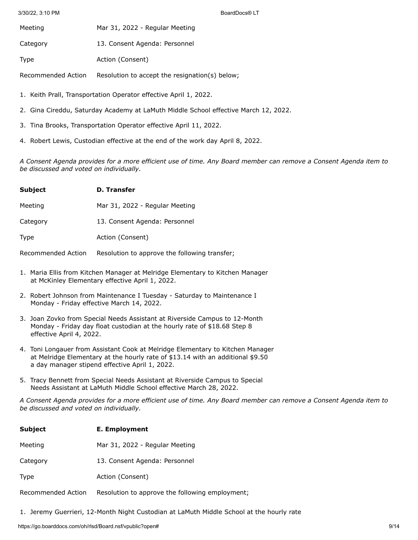Meeting Mar 31, 2022 - Regular Meeting

Category 13. Consent Agenda: Personnel

Type **Action** (Consent)

Recommended Action Resolution to accept the resignation(s) below;

1. Keith Prall, Transportation Operator effective April 1, 2022.

- 2. Gina Cireddu, Saturday Academy at LaMuth Middle School effective March 12, 2022.
- 3. Tina Brooks, Transportation Operator effective April 11, 2022.
- 4. Robert Lewis, Custodian effective at the end of the work day April 8, 2022.

*A Consent Agenda provides for a more efficient use of time. Any Board member can remove a Consent Agenda item to be discussed and voted on individually.*

| <b>Subject</b> | D. Transfer                    |
|----------------|--------------------------------|
| Meeting        | Mar 31, 2022 - Regular Meeting |
| Category       | 13. Consent Agenda: Personnel  |
| Type           | Action (Consent)               |

Recommended Action Resolution to approve the following transfer;

- 1. Maria Ellis from Kitchen Manager at Melridge Elementary to Kitchen Manager at McKinley Elementary effective April 1, 2022.
- 2. Robert Johnson from Maintenance I Tuesday Saturday to Maintenance I Monday - Friday effective March 14, 2022.
- 3. Joan Zovko from Special Needs Assistant at Riverside Campus to 12-Month Monday - Friday day float custodian at the hourly rate of \$18.68 Step 8 effective April 4, 2022.
- 4. Toni Longauer from Assistant Cook at Melridge Elementary to Kitchen Manager at Melridge Elementary at the hourly rate of \$13.14 with an additional \$9.50 a day manager stipend effective April 1, 2022.
- 5. Tracy Bennett from Special Needs Assistant at Riverside Campus to Special Needs Assistant at LaMuth Middle School effective March 28, 2022.

*A Consent Agenda provides for a more efficient use of time. Any Board member can remove a Consent Agenda item to be discussed and voted on individually.*

| <b>Subject</b>     | E. Employment                    |
|--------------------|----------------------------------|
| Meeting            | Mar 31, 2022 - Regular Meeting   |
| Category           | 13. Consent Agenda: Personnel    |
| <b>Type</b>        | Action (Consent)                 |
| Docommonded Action | Bocolution to poproup the follow |

Recommended Action Resolution to approve the following employment;

1. Jeremy Guerrieri, 12-Month Night Custodian at LaMuth Middle School at the hourly rate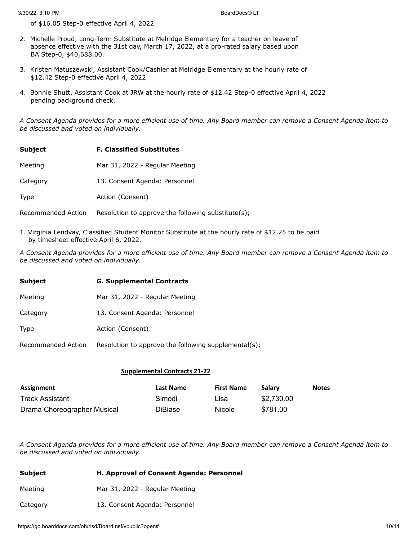of \$16.05 Step-0 effective April 4, 2022.

- 2. Michelle Proud, Long-Term Substitute at Melridge Elementary for a teacher on leave of absence effective with the 31st day, March 17, 2022, at a pro-rated salary based upon BA Step-0, \$40,688.00.
- 3. Kristen Matuszewski, Assistant Cook/Cashier at Melridge Elementary at the hourly rate of \$12.42 Step-0 effective April 4, 2022.
- 4. Bonnie Shutt, Assistant Cook at JRW at the hourly rate of \$12.42 Step-0 effective April 4, 2022 pending background check.

*A Consent Agenda provides for a more efficient use of time. Any Board member can remove a Consent Agenda item to be discussed and voted on individually.*

| <b>Subject</b> | <b>F. Classified Substitutes</b> |
|----------------|----------------------------------|
| Meeting        | Mar 31, 2022 - Regular Meeting   |
| Category       | 13. Consent Agenda: Personnel    |
| Type           | Action (Consent)                 |

Recommended Action Resolution to approve the following substitute(s);

1. Virginia Lendvay, Classified Student Monitor Substitute at the hourly rate of \$12.25 to be paid by timesheet effective April 6, 2022.

*A Consent Agenda provides for a more efficient use of time. Any Board member can remove a Consent Agenda item to be discussed and voted on individually.*

| <b>Subject</b>     | <b>G. Supplemental Contracts</b>                     |  |  |
|--------------------|------------------------------------------------------|--|--|
| Meeting            | Mar 31, 2022 - Regular Meeting                       |  |  |
| Category           | 13. Consent Agenda: Personnel                        |  |  |
| Type               | Action (Consent)                                     |  |  |
| Recommended Action | Resolution to approve the following supplemental(s); |  |  |

### **Supplemental Contracts 21-22**

| Assignment                  | Last Name | <b>First Name</b> | Salary     | <b>Notes</b> |
|-----------------------------|-----------|-------------------|------------|--------------|
| Track Assistant             | Simodi    | Lisa              | \$2,730.00 |              |
| Drama Choreographer Musical | DiBiase   | Nicole            | \$781.00   |              |

| Subject  | H. Approval of Consent Agenda: Personnel |  |
|----------|------------------------------------------|--|
| Meeting  | Mar 31, 2022 - Regular Meeting           |  |
| Category | 13. Consent Agenda: Personnel            |  |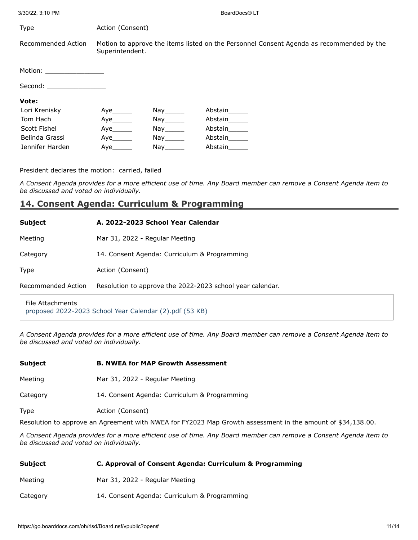| Type                                                                                                                                                                                                                           | Action (Consent) |                                                                                                                                                                                                                                |                                                                                          |
|--------------------------------------------------------------------------------------------------------------------------------------------------------------------------------------------------------------------------------|------------------|--------------------------------------------------------------------------------------------------------------------------------------------------------------------------------------------------------------------------------|------------------------------------------------------------------------------------------|
| Recommended Action                                                                                                                                                                                                             | Superintendent.  |                                                                                                                                                                                                                                | Motion to approve the items listed on the Personnel Consent Agenda as recommended by the |
| Motion: __________________                                                                                                                                                                                                     |                  |                                                                                                                                                                                                                                |                                                                                          |
| Second: the contract of the contract of the contract of the contract of the contract of the contract of the contract of the contract of the contract of the contract of the contract of the contract of the contract of the co |                  |                                                                                                                                                                                                                                |                                                                                          |
| Vote:                                                                                                                                                                                                                          |                  |                                                                                                                                                                                                                                |                                                                                          |
| Lori Krenisky                                                                                                                                                                                                                  | Aye              | Nay the set of the set of the set of the set of the set of the set of the set of the set of the set of the set o                                                                                                               | Abstain                                                                                  |
| Tom Hach                                                                                                                                                                                                                       | Ave              | Nay the set of the set of the set of the set of the set of the set of the set of the set of the set of the set o                                                                                                               | Abstain                                                                                  |
| Scott Fishel                                                                                                                                                                                                                   | Aye              | $\mathsf{Nay}_{\_\!\!\_\_\!\!\_ \_\_\!\!\_ \_\_}$                                                                                                                                                                              | Abstain                                                                                  |
| Belinda Grassi                                                                                                                                                                                                                 | Aye              | Nay the second the second term in the second term in the second term in the second term in the second term in the second term in the second term in the second term in the second term in the second term in the second term i | Abstain                                                                                  |
| Jennifer Harden                                                                                                                                                                                                                | Aye              | Nay                                                                                                                                                                                                                            | Abstain                                                                                  |

President declares the motion: carried, failed

*A Consent Agenda provides for a more efficient use of time. Any Board member can remove a Consent Agenda item to be discussed and voted on individually.*

## **14. Consent Agenda: Curriculum & Programming**

| <b>Subject</b>     | A. 2022-2023 School Year Calendar                         |
|--------------------|-----------------------------------------------------------|
| Meeting            | Mar 31, 2022 - Regular Meeting                            |
| Category           | 14. Consent Agenda: Curriculum & Programming              |
| Type               | Action (Consent)                                          |
| Recommended Action | Resolution to approve the 2022-2023 school year calendar. |
|                    |                                                           |

### File Attachments [proposed 2022-2023 School Year Calendar \(2\).pdf \(53 KB\)](https://go.boarddocs.com/oh/rlsd/Board.nsf/files/CCYRKQ6E669B/$file/proposed%202022-2023%20School%20Year%20Calendar%20(2).pdf)

*A Consent Agenda provides for a more efficient use of time. Any Board member can remove a Consent Agenda item to be discussed and voted on individually.*

## **Subject B. NWEA for MAP Growth Assessment**

Meeting Mar 31, 2022 - Regular Meeting

Category 14. Consent Agenda: Curriculum & Programming

Type **Action** (Consent)

Resolution to approve an Agreement with NWEA for FY2023 Map Growth assessment in the amount of \$34,138.00.

| Subject  | C. Approval of Consent Agenda: Curriculum & Programming |  |  |
|----------|---------------------------------------------------------|--|--|
| Meeting  | Mar 31, 2022 - Regular Meeting                          |  |  |
| Category | 14. Consent Agenda: Curriculum & Programming            |  |  |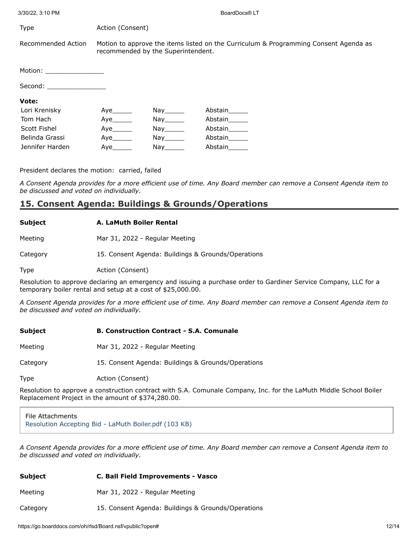| <b>Type</b>                | Action (Consent)                                                                                                           |                                                                                                                               |         |  |
|----------------------------|----------------------------------------------------------------------------------------------------------------------------|-------------------------------------------------------------------------------------------------------------------------------|---------|--|
| Recommended Action         | Motion to approve the items listed on the Curriculum & Programming Consent Agenda as<br>recommended by the Superintendent. |                                                                                                                               |         |  |
| Motion: __________________ |                                                                                                                            |                                                                                                                               |         |  |
| Second: _________________  |                                                                                                                            |                                                                                                                               |         |  |
| Vote:                      |                                                                                                                            |                                                                                                                               |         |  |
| Lori Krenisky              | Aye                                                                                                                        | Nay the set of the set of the set of the set of the set of the set of the set of the set of the set of the set o              | Abstain |  |
| Tom Hach                   | Aye                                                                                                                        | Nay the second the second term in the second second term in the second second term in the second second term in $\mathcal{L}$ | Abstain |  |
| Scott Fishel               | Aye                                                                                                                        | Nay the second the second term in the second second term in the second second term in the second second term in $\mathcal{L}$ | Abstain |  |
| Belinda Grassi             | Aye                                                                                                                        | Nay the second the second term in the second second term in the second second term in the second second term in $\mathcal{L}$ | Abstain |  |
| Jennifer Harden            | Aye                                                                                                                        | Nay                                                                                                                           | Abstain |  |

President declares the motion: carried, failed

*A Consent Agenda provides for a more efficient use of time. Any Board member can remove a Consent Agenda item to be discussed and voted on individually.*

## **15. Consent Agenda: Buildings & Grounds/Operations**

### **Subject A. LaMuth Boiler Rental**

Meeting Mar 31, 2022 - Regular Meeting

Category 15. Consent Agenda: Buildings & Grounds/Operations

Type **Action** (Consent)

Resolution to approve declaring an emergency and issuing a purchase order to Gardiner Service Company, LLC for a temporary boiler rental and setup at a cost of \$25,000.00.

*A Consent Agenda provides for a more efficient use of time. Any Board member can remove a Consent Agenda item to be discussed and voted on individually.*

### **Subject B. Construction Contract - S.A. Comunale**

Meeting Mar 31, 2022 - Regular Meeting

Category 15. Consent Agenda: Buildings & Grounds/Operations

Type **Action** (Consent)

Resolution to approve a construction contract with S.A. Comunale Company, Inc. for the LaMuth Middle School Boiler Replacement Project in the amount of \$374,280.00.

File Attachments [Resolution Accepting Bid - LaMuth Boiler.pdf \(103 KB\)](https://go.boarddocs.com/oh/rlsd/Board.nsf/files/CCXPJC64D348/$file/Resolution%20Accepting%20Bid%20-%20LaMuth%20Boiler.pdf)

| <b>Subject</b> | C. Ball Field Improvements - Vasco                 |  |  |
|----------------|----------------------------------------------------|--|--|
| Meeting        | Mar 31, 2022 - Regular Meeting                     |  |  |
| Category       | 15. Consent Agenda: Buildings & Grounds/Operations |  |  |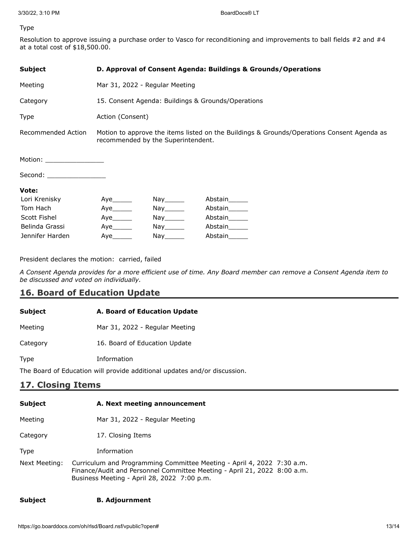### Type

Resolution to approve issuing a purchase order to Vasco for reconditioning and improvements to ball fields #2 and #4 at a total cost of \$18,500.00.

| <b>Subject</b>             | D. Approval of Consent Agenda: Buildings & Grounds/Operations                                                                    |            |               |  |
|----------------------------|----------------------------------------------------------------------------------------------------------------------------------|------------|---------------|--|
| Meeting                    | Mar 31, 2022 - Regular Meeting                                                                                                   |            |               |  |
| Category                   | 15. Consent Agenda: Buildings & Grounds/Operations                                                                               |            |               |  |
| Type                       | Action (Consent)                                                                                                                 |            |               |  |
| Recommended Action         | Motion to approve the items listed on the Buildings & Grounds/Operations Consent Agenda as<br>recommended by the Superintendent. |            |               |  |
| Motion: __________________ |                                                                                                                                  |            |               |  |
| Second: _________________  |                                                                                                                                  |            |               |  |
| Vote:                      |                                                                                                                                  |            |               |  |
| Lori Krenisky              |                                                                                                                                  | Nay_______ | Abstain______ |  |
| Tom Hach                   |                                                                                                                                  | Nay_______ | Abstain______ |  |
| Scott Fishel               | Aye                                                                                                                              | Nay______  | Abstain______ |  |
| Belinda Grassi             | Aye_______                                                                                                                       | Nay_______ | Abstain______ |  |
| Jennifer Harden            | Abstain<br>Aye<br>Nay                                                                                                            |            |               |  |

President declares the motion: carried, failed

*A Consent Agenda provides for a more efficient use of time. Any Board member can remove a Consent Agenda item to be discussed and voted on individually.*

## **16. Board of Education Update**

| <b>Subject</b>    | A. Board of Education Update                                              |  |  |
|-------------------|---------------------------------------------------------------------------|--|--|
| Meeting           | Mar 31, 2022 - Regular Meeting                                            |  |  |
| Category          | 16. Board of Education Update                                             |  |  |
| Type              | Information                                                               |  |  |
|                   | The Board of Education will provide additional updates and/or discussion. |  |  |
| 17. Closing Items |                                                                           |  |  |
| <b>Subject</b>    | A. Next meeting announcement                                              |  |  |
| Meeting           | Mar 31, 2022 - Regular Meeting                                            |  |  |
| Category          | 17. Closing Items                                                         |  |  |

Type Information

Next Meeting: Curriculum and Programming Committee Meeting - April 4, 2022 7:30 a.m. Finance/Audit and Personnel Committee Meeting - April 21, 2022 8:00 a.m. Business Meeting - April 28, 2022 7:00 p.m.

### **Subject B. Adjournment**